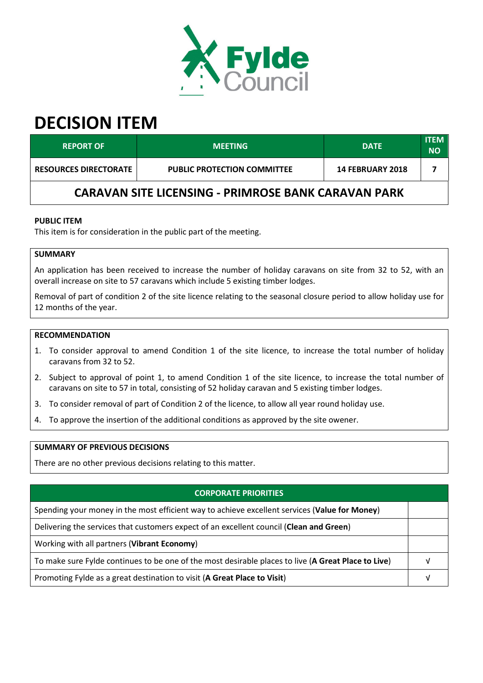

# **DECISION ITEM**

| <b>REPORT OF</b>                                           | <b>MEETING</b>                     | <b>DATE</b>             | <b>ITEM</b><br><b>NO</b> |  |  |
|------------------------------------------------------------|------------------------------------|-------------------------|--------------------------|--|--|
| <b>RESOURCES DIRECTORATE</b>                               | <b>PUBLIC PROTECTION COMMITTEE</b> | <b>14 FEBRUARY 2018</b> |                          |  |  |
| <b>CARAVAN SITE LICENSING - PRIMROSE BANK CARAVAN PARK</b> |                                    |                         |                          |  |  |

### **PUBLIC ITEM**

This item is for consideration in the public part of the meeting.

# **SUMMARY**

An application has been received to increase the number of holiday caravans on site from 32 to 52, with an overall increase on site to 57 caravans which include 5 existing timber lodges.

Removal of part of condition 2 of the site licence relating to the seasonal closure period to allow holiday use for 12 months of the year.

#### **RECOMMENDATION**

- 1. To consider approval to amend Condition 1 of the site licence, to increase the total number of holiday caravans from 32 to 52.
- 2. Subject to approval of point 1, to amend Condition 1 of the site licence, to increase the total number of caravans on site to 57 in total, consisting of 52 holiday caravan and 5 existing timber lodges.
- 3. To consider removal of part of Condition 2 of the licence, to allow all year round holiday use.
- 4. To approve the insertion of the additional conditions as approved by the site owener.

# **SUMMARY OF PREVIOUS DECISIONS**

There are no other previous decisions relating to this matter.

#### **CORPORATE PRIORITIES**

| Spending your money in the most efficient way to achieve excellent services (Value for Money)       |  |
|-----------------------------------------------------------------------------------------------------|--|
| Delivering the services that customers expect of an excellent council (Clean and Green)             |  |
| Working with all partners (Vibrant Economy)                                                         |  |
| To make sure Fylde continues to be one of the most desirable places to live (A Great Place to Live) |  |
| Promoting Fylde as a great destination to visit (A Great Place to Visit)                            |  |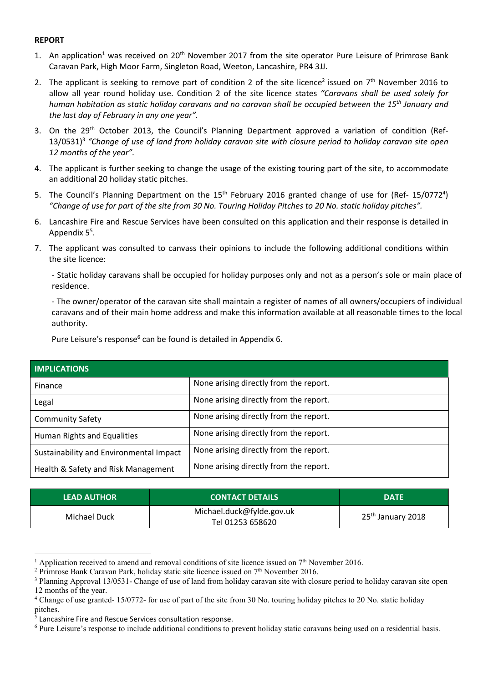### **REPORT**

- 1. An application<sup>1</sup> was received on 20<sup>th</sup> November 2017 from the site operator Pure Leisure of Primrose Bank Caravan Park, High Moor Farm, Singleton Road, Weeton, Lancashire, PR4 3JJ.
- 2. The applicant is seeking to remove part of condition 2 of the site licence<sup>2</sup> issued on  $7<sup>th</sup>$  November 2016 to allow all year round holiday use. Condition 2 of the site licence states *"Caravans shall be used solely for human habitation as static holiday caravans and no caravan shall be occupied between the 15th January and the last day of February in any one year".*
- 3. On the 29<sup>th</sup> October 2013, the Council's Planning Department approved a variation of condition (Ref-13/0531)<sup>3</sup> "Change of use of land from holiday caravan site with closure period to holiday caravan site open *12 months of the year".*
- 4. The applicant is further seeking to change the usage of the existing touring part of the site, to accommodate an additional 20 holiday static pitches.
- 5. The Council's Planning Department on the  $15<sup>th</sup>$  February 2016 granted change of use for (Ref- 15/0772<sup>4</sup>) *"Change of use for part of the site from 30 No. Touring Holiday Pitches to 20 No. static holiday pitches".*
- 6. Lancashire Fire and Rescue Services have been consulted on this application and their response is detailed in Appendix 5<sup>5</sup>.
- 7. The applicant was consulted to canvass their opinions to include the following additional conditions within the site licence:

- Static holiday caravans shall be occupied for holiday purposes only and not as a person's sole or main place of residence.

- The owner/operator of the caravan site shall maintain a register of names of all owners/occupiers of individual caravans and of their main home address and make this information available at all reasonable times to the local authority.

Pure Leisure's response<sup>6</sup> can be found is detailed in Appendix 6.

| <b>IMPLICATIONS</b>                     |                                        |  |  |
|-----------------------------------------|----------------------------------------|--|--|
| Finance                                 | None arising directly from the report. |  |  |
| Legal                                   | None arising directly from the report. |  |  |
| <b>Community Safety</b>                 | None arising directly from the report. |  |  |
| Human Rights and Equalities             | None arising directly from the report. |  |  |
| Sustainability and Environmental Impact | None arising directly from the report. |  |  |
| Health & Safety and Risk Management     | None arising directly from the report. |  |  |

| <b>LEAD AUTHOR</b> | <b>CONTACT DETAILS</b>                        | <b>DATE</b>                   |
|--------------------|-----------------------------------------------|-------------------------------|
| Michael Duck       | Michael.duck@fylde.gov.uk<br>Tel 01253 658620 | 25 <sup>th</sup> January 2018 |

<sup>&</sup>lt;sup>1</sup> Application received to amend and removal conditions of site licence issued on  $7<sup>th</sup>$  November 2016.

 $\overline{a}$ 

<sup>&</sup>lt;sup>2</sup> Primrose Bank Caravan Park, holiday static site licence issued on  $7<sup>th</sup>$  November 2016.

<sup>&</sup>lt;sup>3</sup> Planning Approval 13/0531- Change of use of land from holiday caravan site with closure period to holiday caravan site open 12 months of the year.

<sup>&</sup>lt;sup>4</sup> Change of use granted- 15/0772- for use of part of the site from 30 No. touring holiday pitches to 20 No. static holiday pitches.

 $5$  Lancashire Fire and Rescue Services consultation response.

<sup>&</sup>lt;sup>6</sup> Pure Leisure's response to include additional conditions to prevent holiday static caravans being used on a residential basis.